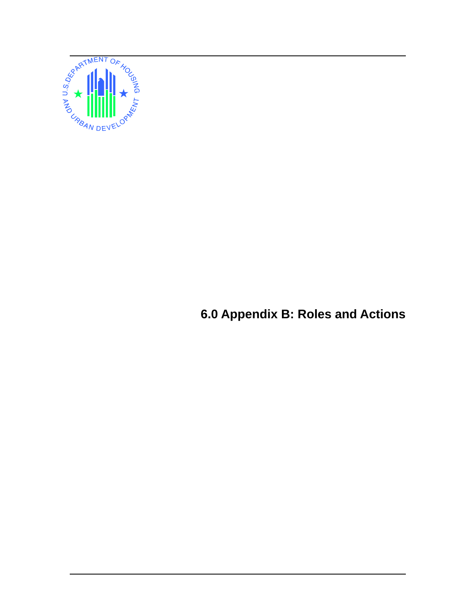

**6.0 Appendix B: Roles and Actions**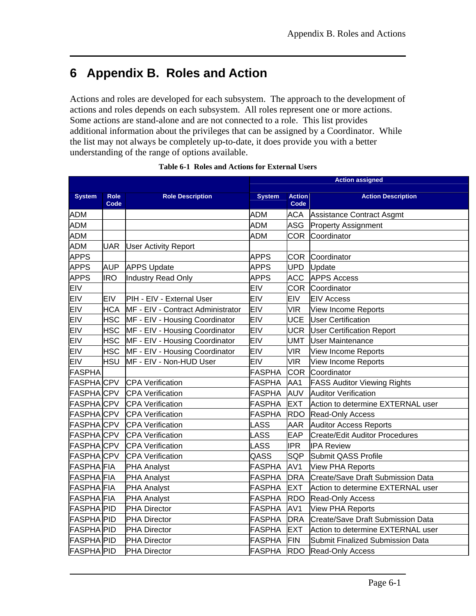# **6 Appendix B. Roles and Action**

Actions and roles are developed for each subsystem. The approach to the development of actions and roles depends on each subsystem. All roles represent one or more actions. Some actions are stand-alone and are not connected to a role. This list provides additional information about the privileges that can be assigned by a Coordinator. While the list may not always be completely up-to-date, it does provide you with a better understanding of the range of options available.

|                   |                     |                                   | <b>Action assigned</b> |                       |                                    |  |  |
|-------------------|---------------------|-----------------------------------|------------------------|-----------------------|------------------------------------|--|--|
| <b>System</b>     | <b>Role</b><br>Code | <b>Role Description</b>           | <b>System</b>          | <b>Action</b><br>Code | <b>Action Description</b>          |  |  |
| <b>ADM</b>        |                     |                                   | <b>ADM</b>             | ACA                   | Assistance Contract Asgmt          |  |  |
| <b>ADM</b>        |                     |                                   | <b>ADM</b>             | ASG                   | <b>Property Assignment</b>         |  |  |
| <b>ADM</b>        |                     |                                   | <b>ADM</b>             | <b>COR</b>            | Coordinator                        |  |  |
| <b>ADM</b>        | <b>UAR</b>          | <b>User Activity Report</b>       |                        |                       |                                    |  |  |
| <b>APPS</b>       |                     |                                   | <b>APPS</b>            |                       | COR Coordinator                    |  |  |
| <b>APPS</b>       | <b>AUP</b>          | <b>APPS Update</b>                | <b>APPS</b>            | <b>UPD</b>            | Update                             |  |  |
| <b>APPS</b>       | <b>IRO</b>          | Industry Read Only                | <b>APPS</b>            | <b>ACC</b>            | <b>APPS Access</b>                 |  |  |
| <b>EIV</b>        |                     |                                   | <b>EIV</b>             |                       | <b>COR</b> Coordinator             |  |  |
| <b>EIV</b>        | <b>EIV</b>          | PIH - EIV - External User         | <b>EIV</b>             | EIV                   | <b>EIV Access</b>                  |  |  |
| <b>EIV</b>        | <b>HCA</b>          | MF - EIV - Contract Administrator | <b>EIV</b>             | <b>VIR</b>            | View Income Reports                |  |  |
| <b>EIV</b>        | <b>HSC</b>          | MF - EIV - Housing Coordinator    | <b>EIV</b>             | <b>UCE</b>            | <b>User Certification</b>          |  |  |
| <b>EIV</b>        | <b>HSC</b>          | MF - EIV - Housing Coordinator    | <b>EIV</b>             | <b>UCR</b>            | <b>User Certification Report</b>   |  |  |
| <b>EIV</b>        | <b>HSC</b>          | MF - EIV - Housing Coordinator    | <b>EIV</b>             | <b>UMT</b>            | <b>User Maintenance</b>            |  |  |
| <b>EIV</b>        | <b>HSC</b>          | MF - EIV - Housing Coordinator    | <b>EIV</b>             | <b>VIR</b>            | <b>View Income Reports</b>         |  |  |
| <b>EIV</b>        | <b>HSU</b>          | MF - EIV - Non-HUD User           | <b>EIV</b>             | <b>VIR</b>            | <b>View Income Reports</b>         |  |  |
| <b>FASPHA</b>     |                     |                                   | FASPHA                 | <b>COR</b>            | Coordinator                        |  |  |
| <b>FASPHACPV</b>  |                     | <b>CPA Verification</b>           | <b>FASPHA</b>          | AA1                   | <b>FASS Auditor Viewing Rights</b> |  |  |
| <b>FASPHACPV</b>  |                     | <b>CPA Verification</b>           | <b>FASPHA</b>          | AUV                   | <b>Auditor Verification</b>        |  |  |
| <b>FASPHACPV</b>  |                     | <b>CPA Verification</b>           | FASPHA                 | <b>EXT</b>            | Action to determine EXTERNAL user  |  |  |
| <b>FASPHACPV</b>  |                     | <b>CPA Verification</b>           | FASPHA                 | <b>RDO</b>            | <b>Read-Only Access</b>            |  |  |
| <b>FASPHACPV</b>  |                     | <b>CPA Verification</b>           | <b>LASS</b>            | <b>AAR</b>            | <b>Auditor Access Reports</b>      |  |  |
| <b>FASPHACPV</b>  |                     | <b>CPA Verification</b>           | <b>LASS</b>            | <b>EAP</b>            | Create/Edit Auditor Procedures     |  |  |
| <b>FASPHACPV</b>  |                     | <b>CPA Verification</b>           | <b>LASS</b>            | <b>IPR</b>            | <b>IPA Review</b>                  |  |  |
| <b>FASPHACPV</b>  |                     | <b>CPA Verification</b>           | QASS                   | <b>SQP</b>            | Submit QASS Profile                |  |  |
| <b>FASPHA</b> FIA |                     | <b>PHA Analyst</b>                | <b>FASPHA</b>          | AV <sub>1</sub>       | <b>View PHA Reports</b>            |  |  |
| <b>FASPHA FIA</b> |                     | <b>PHA Analyst</b>                | <b>FASPHA</b>          | <b>DRA</b>            | Create/Save Draft Submission Data  |  |  |
| <b>FASPHA FIA</b> |                     | <b>PHA Analyst</b>                | <b>FASPHA</b>          | <b>EXT</b>            | Action to determine EXTERNAL user  |  |  |
| <b>FASPHA</b> FIA |                     | <b>PHA Analyst</b>                | <b>FASPHA</b>          | <b>RDO</b>            | <b>Read-Only Access</b>            |  |  |
| <b>FASPHA PID</b> |                     | <b>PHA Director</b>               | <b>FASPHA</b>          | AV <sub>1</sub>       | <b>View PHA Reports</b>            |  |  |
| <b>FASPHA PID</b> |                     | <b>PHA Director</b>               | FASPHA                 | <b>DRA</b>            | Create/Save Draft Submission Data  |  |  |
| <b>FASPHA PID</b> |                     | <b>PHA Director</b>               | <b>FASPHA</b>          | <b>EXT</b>            | Action to determine EXTERNAL user  |  |  |
| <b>FASPHA PID</b> |                     | <b>PHA Director</b>               | <b>FASPHA</b>          | FIN                   | Submit Finalized Submission Data   |  |  |
| <b>FASPHA PID</b> |                     | PHA Director                      | FASPHA                 | <b>RDO</b>            | Read-Only Access                   |  |  |

### **Table 6-1 Roles and Actions for External Users**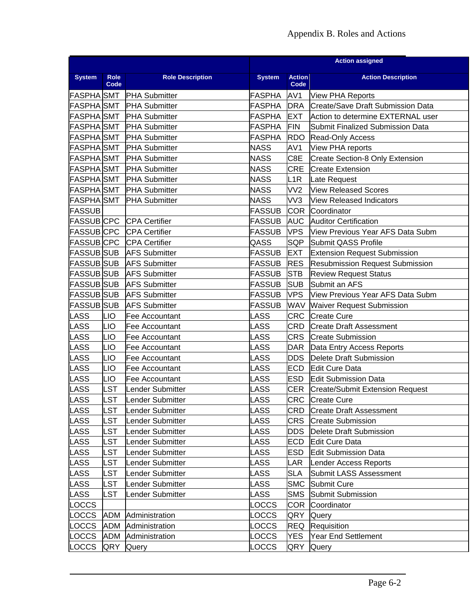## Appendix B. Roles and Actions

|                   |             |                         | <b>Action assigned</b> |                         |                                        |  |  |
|-------------------|-------------|-------------------------|------------------------|-------------------------|----------------------------------------|--|--|
| <b>System</b>     | <b>Role</b> | <b>Role Description</b> | <b>System</b>          | <b>Action</b>           | <b>Action Description</b>              |  |  |
| <b>FASPHA</b> SMT | Code        | <b>PHA Submitter</b>    | <b>FASPHA</b>          | Code<br>AV <sub>1</sub> | <b>View PHA Reports</b>                |  |  |
| <b>FASPHA</b> SMT |             | <b>PHA Submitter</b>    | <b>FASPHA</b>          | <b>DRA</b>              | Create/Save Draft Submission Data      |  |  |
| <b>FASPHA</b> SMT |             | <b>PHA Submitter</b>    | <b>FASPHA</b>          | <b>EXT</b>              | Action to determine EXTERNAL user      |  |  |
| <b>FASPHA</b> SMT |             | <b>PHA Submitter</b>    | <b>FASPHA</b>          | FIN                     | Submit Finalized Submission Data       |  |  |
| <b>FASPHA</b> SMT |             | <b>PHA Submitter</b>    | <b>FASPHA</b>          | <b>RDO</b>              | Read-Only Access                       |  |  |
| <b>FASPHA</b> SMT |             | <b>PHA Submitter</b>    | <b>NASS</b>            | AV1                     | View PHA reports                       |  |  |
| <b>FASPHA</b> SMT |             | <b>PHA Submitter</b>    | <b>NASS</b>            | C8E                     | Create Section-8 Only Extension        |  |  |
| <b>FASPHA</b> SMT |             | <b>PHA Submitter</b>    | <b>NASS</b>            | <b>CRE</b>              | <b>Create Extension</b>                |  |  |
| <b>FASPHA</b> SMT |             | <b>PHA Submitter</b>    | <b>NASS</b>            | L1R                     | Late Request                           |  |  |
| <b>FASPHA</b> SMT |             | <b>PHA Submitter</b>    | <b>NASS</b>            | VV <sub>2</sub>         | <b>View Released Scores</b>            |  |  |
| <b>FASPHA</b> SMT |             | <b>PHA Submitter</b>    | <b>NASS</b>            | VV3                     | <b>View Released Indicators</b>        |  |  |
| <b>FASSUB</b>     |             |                         | <b>FASSUB</b>          |                         | COR Coordinator                        |  |  |
| <b>FASSUB</b> CPC |             | <b>CPA Certifier</b>    | <b>FASSUB</b>          | <b>AUC</b>              | <b>Auditor Certification</b>           |  |  |
| <b>FASSUB</b> CPC |             | <b>CPA Certifier</b>    | <b>FASSUB</b>          | <b>VPS</b>              | View Previous Year AFS Data Subm       |  |  |
| <b>FASSUB</b> CPC |             | <b>CPA Certifier</b>    | QASS                   | <b>SQP</b>              | Submit QASS Profile                    |  |  |
| <b>FASSUB</b> SUB |             | <b>AFS Submitter</b>    | <b>FASSUB</b>          | <b>EXT</b>              | <b>Extension Request Submission</b>    |  |  |
| <b>FASSUB</b> SUB |             | <b>AFS Submitter</b>    | <b>FASSUB</b>          | <b>RES</b>              | <b>Resubmission Request Submission</b> |  |  |
| <b>FASSUB</b> SUB |             | <b>AFS Submitter</b>    | <b>FASSUB</b>          | <b>STB</b>              | <b>Review Request Status</b>           |  |  |
| <b>FASSUB</b> SUB |             | <b>AFS Submitter</b>    | <b>FASSUB</b>          | <b>SUB</b>              | Submit an AFS                          |  |  |
| <b>FASSUB</b> SUB |             | <b>AFS Submitter</b>    | <b>FASSUB</b>          | <b>VPS</b>              | View Previous Year AFS Data Subm       |  |  |
| <b>FASSUB</b> SUB |             | <b>AFS Submitter</b>    | <b>FASSUB</b>          | WAV                     | <b>Waiver Request Submission</b>       |  |  |
| <b>LASS</b>       | LIO         | Fee Accountant          | <b>LASS</b>            | <b>CRC</b>              | <b>Create Cure</b>                     |  |  |
| <b>LASS</b>       | LIO         | Fee Accountant          | <b>LASS</b>            | CRD                     | <b>Create Draft Assessment</b>         |  |  |
| <b>LASS</b>       | LIO         | Fee Accountant          | LASS                   | <b>CRS</b>              | <b>Create Submission</b>               |  |  |
| <b>LASS</b>       | LIO         | Fee Accountant          | <b>LASS</b>            | <b>DAR</b>              | Data Entry Access Reports              |  |  |
| <b>LASS</b>       | LIO         | Fee Accountant          | <b>LASS</b>            | <b>DDS</b>              | Delete Draft Submission                |  |  |
| <b>LASS</b>       | LIO         | Fee Accountant          | <b>LASS</b>            | <b>ECD</b>              | Edit Cure Data                         |  |  |
| <b>LASS</b>       | LIO         | Fee Accountant          | <b>LASS</b>            | ESD                     | <b>Edit Submission Data</b>            |  |  |
| <b>LASS</b>       | <b>LST</b>  | Lender Submitter        | <b>LASS</b>            | CER.                    | <b>Create/Submit Extension Request</b> |  |  |
| LASS              | <b>LST</b>  | Lender Submitter        | LASS                   |                         | CRC Create Cure                        |  |  |
| <b>LASS</b>       | <b>LST</b>  | Lender Submitter        | <b>LASS</b>            | <b>CRD</b>              | <b>Create Draft Assessment</b>         |  |  |
| <b>LASS</b>       | <b>LST</b>  | Lender Submitter        | <b>LASS</b>            | <b>CRS</b>              | <b>Create Submission</b>               |  |  |
| <b>LASS</b>       | <b>LST</b>  | Lender Submitter        | <b>LASS</b>            | <b>DDS</b>              | Delete Draft Submission                |  |  |
| <b>LASS</b>       | <b>LST</b>  | ender Submitter         | <b>LASS</b>            | <b>ECD</b>              | <b>Edit Cure Data</b>                  |  |  |
| <b>LASS</b>       | <b>LST</b>  | Lender Submitter        | <b>LASS</b>            | <b>ESD</b>              | Edit Submission Data                   |  |  |
| <b>LASS</b>       | <b>LST</b>  | Lender Submitter        | LASS                   | LAR                     | Lender Access Reports                  |  |  |
| <b>LASS</b>       | <b>LST</b>  | Lender Submitter        | <b>LASS</b>            | <b>SLA</b>              | Submit LASS Assessment                 |  |  |
| <b>LASS</b>       | <b>LST</b>  | ender Submitter         | LASS                   | <b>SMC</b>              | <b>Submit Cure</b>                     |  |  |
| <b>LASS</b>       | <b>LST</b>  | Lender Submitter        | <b>LASS</b>            | <b>SMS</b>              | Submit Submission                      |  |  |
| <b>LOCCS</b>      |             |                         | LOCCS                  | <b>COR</b>              | Coordinator                            |  |  |
| <b>LOCCS</b>      | <b>ADM</b>  | Administration          | <b>LOCCS</b>           | QRY                     | Query                                  |  |  |
| <b>LOCCS</b>      | ADM         | Administration          | LOCCS                  | <b>REQ</b>              | Requisition                            |  |  |
| <b>LOCCS</b>      | <b>ADM</b>  | Administration          | <b>LOCCS</b>           | <b>YES</b>              | <b>Year End Settlement</b>             |  |  |
| LOCCS             | QRY         | Query                   | LOCCS                  | QRY                     | Query                                  |  |  |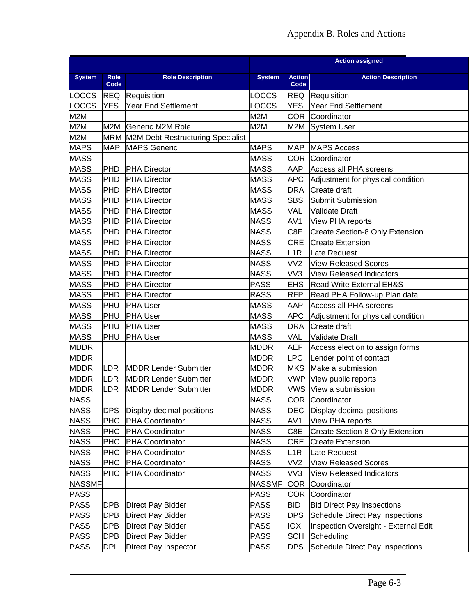|               |            |                                       | <b>Action assigned</b> |                 |                                        |  |  |
|---------------|------------|---------------------------------------|------------------------|-----------------|----------------------------------------|--|--|
| <b>System</b> | Role       | <b>Role Description</b>               | <b>System</b>          | <b>Action</b>   | <b>Action Description</b>              |  |  |
|               | Code       |                                       |                        | Code            |                                        |  |  |
| <b>LOCCS</b>  |            | <b>REQ</b> Requisition                | <b>LOCCS</b>           | <b>REQ</b>      | Requisition                            |  |  |
| LOCCS         | <b>YES</b> | <b>Year End Settlement</b>            | LOCCS                  | <b>YES</b>      | <b>Year End Settlement</b>             |  |  |
| M2M           |            |                                       | M2M                    | COR             | Coordinator                            |  |  |
| M2M           | M2M        | Generic M2M Role                      | M2M                    | M2M             | <b>System User</b>                     |  |  |
| M2M           |            | MRM M2M Debt Restructuring Specialist |                        |                 |                                        |  |  |
| <b>MAPS</b>   | <b>MAP</b> | <b>MAPS Generic</b>                   | <b>MAPS</b>            | <b>MAP</b>      | <b>MAPS Access</b>                     |  |  |
| <b>MASS</b>   |            |                                       | <b>MASS</b>            | <b>COR</b>      | Coordinator                            |  |  |
| <b>MASS</b>   | PHD        | <b>PHA Director</b>                   | <b>MASS</b>            | <b>AAP</b>      | Access all PHA screens                 |  |  |
| <b>MASS</b>   | <b>PHD</b> | <b>PHA Director</b>                   | <b>MASS</b>            | <b>APC</b>      | Adjustment for physical condition      |  |  |
| <b>MASS</b>   | <b>PHD</b> | <b>PHA Director</b>                   | <b>MASS</b>            | <b>DRA</b>      | Create draft                           |  |  |
| <b>MASS</b>   | PHD        | <b>PHA Director</b>                   | <b>MASS</b>            | <b>SBS</b>      | Submit Submission                      |  |  |
| <b>MASS</b>   | <b>PHD</b> | <b>PHA Director</b>                   | <b>MASS</b>            | VAL             | <b>Validate Draft</b>                  |  |  |
| <b>MASS</b>   | <b>PHD</b> | <b>PHA Director</b>                   | <b>NASS</b>            | AV1             | View PHA reports                       |  |  |
| <b>MASS</b>   | <b>PHD</b> | <b>PHA Director</b>                   | <b>NASS</b>            | C8E             | Create Section-8 Only Extension        |  |  |
| <b>MASS</b>   | PHD        | <b>PHA Director</b>                   | <b>NASS</b>            | <b>CRE</b>      | <b>Create Extension</b>                |  |  |
| <b>MASS</b>   | PHD        | <b>PHA Director</b>                   | <b>NASS</b>            | L1R             | Late Request                           |  |  |
| <b>MASS</b>   | <b>PHD</b> | <b>PHA Director</b>                   | <b>NASS</b>            | VV <sub>2</sub> | <b>View Released Scores</b>            |  |  |
| <b>MASS</b>   | <b>PHD</b> | <b>PHA Director</b>                   | <b>NASS</b>            | VV3             | View Released Indicators               |  |  |
| <b>MASS</b>   | PHD        | <b>PHA Director</b>                   | <b>PASS</b>            | <b>EHS</b>      | <b>Read Write External EH&amp;S</b>    |  |  |
| <b>MASS</b>   | <b>PHD</b> | <b>PHA Director</b>                   | <b>RASS</b>            | <b>RFP</b>      | Read PHA Follow-up Plan data           |  |  |
| <b>MASS</b>   | PHU        | <b>PHA User</b>                       | <b>MASS</b>            | AAP             | Access all PHA screens                 |  |  |
| <b>MASS</b>   | PHU        | <b>PHA User</b>                       | <b>MASS</b>            | <b>APC</b>      | Adjustment for physical condition      |  |  |
| <b>MASS</b>   | PHU        | <b>PHA User</b>                       | <b>MASS</b>            | <b>DRA</b>      | Create draft                           |  |  |
| <b>MASS</b>   | PHU        | <b>PHA User</b>                       | <b>MASS</b>            | VAL             | <b>Validate Draft</b>                  |  |  |
| <b>MDDR</b>   |            |                                       | <b>MDDR</b>            | AEF             | Access election to assign forms        |  |  |
| <b>MDDR</b>   |            |                                       | <b>MDDR</b>            | <b>LPC</b>      | Lender point of contact                |  |  |
| <b>MDDR</b>   | LDR        | <b>MDDR Lender Submitter</b>          | <b>MDDR</b>            | <b>MKS</b>      | Make a submission                      |  |  |
| <b>MDDR</b>   | LDR        | <b>MDDR Lender Submitter</b>          | <b>MDDR</b>            | <b>VWP</b>      | View public reports                    |  |  |
| <b>MDDR</b>   | LDR        | <b>MDDR Lender Submitter</b>          | <b>MDDR</b>            |                 | VWS View a submission                  |  |  |
| <b>NASS</b>   |            |                                       | <b>NASS</b>            |                 | <b>COR Coordinator</b>                 |  |  |
| <b>NASS</b>   | <b>DPS</b> | Display decimal positions             | <b>NASS</b>            | DEC             | Display decimal positions              |  |  |
| <b>NASS</b>   | <b>PHC</b> | <b>PHA Coordinator</b>                | <b>NASS</b>            | AV1             | View PHA reports                       |  |  |
| <b>NASS</b>   | <b>PHC</b> | <b>PHA Coordinator</b>                | <b>NASS</b>            | C8E             | Create Section-8 Only Extension        |  |  |
| <b>NASS</b>   | PHC        | <b>PHA Coordinator</b>                | NASS                   | <b>CRE</b>      | <b>Create Extension</b>                |  |  |
| <b>NASS</b>   | <b>PHC</b> | <b>PHA Coordinator</b>                | <b>NASS</b>            | L1R             | Late Request                           |  |  |
| <b>NASS</b>   | <b>PHC</b> | <b>PHA Coordinator</b>                | <b>NASS</b>            | VV <sub>2</sub> | <b>View Released Scores</b>            |  |  |
|               |            |                                       | <b>NASS</b>            |                 |                                        |  |  |
| <b>NASS</b>   | PHC        | <b>PHA Coordinator</b>                | <b>NASSMF</b>          | VV3             | <b>View Released Indicators</b>        |  |  |
| <b>NASSMF</b> |            |                                       |                        | COR             | Coordinator                            |  |  |
| <b>PASS</b>   |            |                                       | PASS                   | COR             | Coordinator                            |  |  |
| <b>PASS</b>   | <b>DPB</b> | <b>Direct Pay Bidder</b>              | PASS                   | <b>BID</b>      | <b>Bid Direct Pay Inspections</b>      |  |  |
| <b>PASS</b>   | <b>DPB</b> | Direct Pay Bidder                     | PASS                   | <b>DPS</b>      | <b>Schedule Direct Pay Inspections</b> |  |  |
| <b>PASS</b>   | <b>DPB</b> | Direct Pay Bidder                     | PASS                   | IOX             | Inspection Oversight - External Edit   |  |  |
| <b>PASS</b>   | <b>DPB</b> | Direct Pay Bidder                     | <b>PASS</b>            | <b>SCH</b>      | Scheduling                             |  |  |
| <b>PASS</b>   | DPI        | Direct Pay Inspector                  | <b>PASS</b>            | <b>DPS</b>      | Schedule Direct Pay Inspections        |  |  |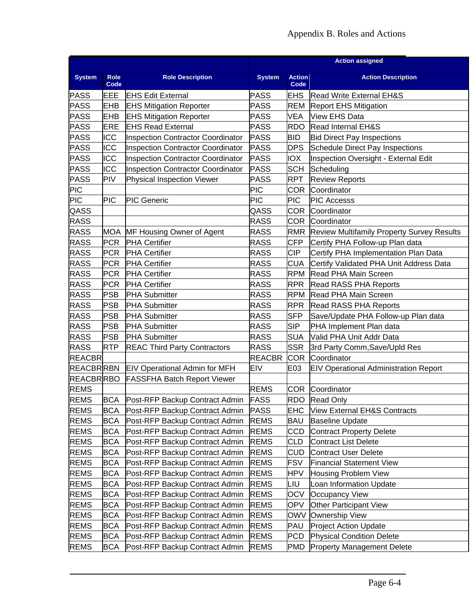|                  |              |                                                 | <b>Action assigned</b> |                    |                                                       |  |  |
|------------------|--------------|-------------------------------------------------|------------------------|--------------------|-------------------------------------------------------|--|--|
| <b>System</b>    | Role<br>Code | <b>Role Description</b>                         | <b>System</b>          | <b>Action</b>      | <b>Action Description</b>                             |  |  |
| <b>PASS</b>      | EEE          | <b>EHS Edit External</b>                        | <b>PASS</b>            | Code<br><b>EHS</b> | Read Write External EH&S                              |  |  |
| <b>PASS</b>      | <b>EHB</b>   | <b>EHS Mitigation Reporter</b>                  | PASS                   | <b>REM</b>         | <b>Report EHS Mitigation</b>                          |  |  |
| <b>PASS</b>      | EHB          | <b>EHS Mitigation Reporter</b>                  | PASS                   | <b>VEA</b>         | <b>View EHS Data</b>                                  |  |  |
|                  | <b>ERE</b>   | <b>EHS Read External</b>                        | PASS                   | <b>RDO</b>         |                                                       |  |  |
| <b>PASS</b>      |              |                                                 |                        |                    | Read Internal EH&S                                    |  |  |
| <b>PASS</b>      | ICC          | <b>Inspection Contractor Coordinator</b>        | <b>PASS</b>            | <b>BID</b>         | <b>Bid Direct Pay Inspections</b>                     |  |  |
| <b>PASS</b>      | ICC          | <b>Inspection Contractor Coordinator</b>        | <b>PASS</b>            | <b>DPS</b>         | Schedule Direct Pay Inspections                       |  |  |
| <b>PASS</b>      | ICC          | <b>Inspection Contractor Coordinator</b>        | <b>PASS</b>            | <b>IOX</b>         | Inspection Oversight - External Edit                  |  |  |
| <b>PASS</b>      | ICC          | <b>Inspection Contractor Coordinator</b>        | <b>PASS</b>            | <b>SCH</b>         | Scheduling                                            |  |  |
| <b>PASS</b>      | <b>PIV</b>   | Physical Inspection Viewer                      | PASS                   | <b>RPT</b>         | <b>Review Reports</b>                                 |  |  |
| <b>PIC</b>       |              |                                                 | PIC                    | COR                | Coordinator                                           |  |  |
| <b>PIC</b>       | <b>PIC</b>   | <b>PIC Generic</b>                              | <b>PIC</b>             | <b>PIC</b>         | <b>PIC Accesss</b>                                    |  |  |
| QASS             |              |                                                 | QASS                   | <b>COR</b>         | Coordinator                                           |  |  |
| <b>RASS</b>      |              |                                                 | <b>RASS</b>            | <b>COR</b>         | Coordinator                                           |  |  |
| <b>RASS</b>      | MOA          | MF Housing Owner of Agent                       | <b>RASS</b>            |                    | <b>RMR</b> Review Multifamily Property Survey Results |  |  |
| <b>RASS</b>      |              | <b>PCR PHA</b> Certifier                        | <b>RASS</b>            | <b>CFP</b>         | Certify PHA Follow-up Plan data                       |  |  |
| <b>RASS</b>      | <b>PCR</b>   | <b>PHA Certifier</b>                            | RASS                   | <b>CIP</b>         | Certify PHA Implementation Plan Data                  |  |  |
| <b>RASS</b>      | <b>PCR</b>   | <b>PHA Certifier</b>                            | <b>RASS</b>            | <b>CUA</b>         | Certify Validated PHA Unit Address Data               |  |  |
| <b>RASS</b>      | <b>PCR</b>   | <b>PHA Certifier</b>                            | <b>RASS</b>            | <b>RPM</b>         | <b>Read PHA Main Screen</b>                           |  |  |
| <b>RASS</b>      | <b>PCR</b>   | <b>PHA Certifier</b>                            | <b>RASS</b>            | <b>RPR</b>         | <b>Read RASS PHA Reports</b>                          |  |  |
| <b>RASS</b>      | <b>PSB</b>   | <b>PHA Submitter</b>                            | RASS                   | <b>RPM</b>         | Read PHA Main Screen                                  |  |  |
| <b>RASS</b>      | <b>PSB</b>   | <b>PHA Submitter</b>                            | <b>RASS</b>            | <b>RPR</b>         | <b>Read RASS PHA Reports</b>                          |  |  |
| <b>RASS</b>      | <b>PSB</b>   | <b>PHA Submitter</b>                            | <b>RASS</b>            | <b>SFP</b>         | Save/Update PHA Follow-up Plan data                   |  |  |
| <b>RASS</b>      | <b>PSB</b>   | <b>PHA Submitter</b>                            | <b>RASS</b>            | <b>SIP</b>         | PHA Implement Plan data                               |  |  |
| <b>RASS</b>      | <b>PSB</b>   | <b>PHA Submitter</b>                            | RASS                   | <b>SUA</b>         | Valid PHA Unit Addr Data                              |  |  |
| <b>RASS</b>      | <b>RTP</b>   | <b>REAC Third Party Contractors</b>             | RASS                   | <b>SSR</b>         | 3rd Party Comm, Save/Upld Res                         |  |  |
| <b>REACBR</b>    |              |                                                 | <b>REACBR</b>          | ICOR.              | Coordinator                                           |  |  |
|                  |              | <b>REACBRRIBN</b> EIV Operational Admin for MFH | <b>EIV</b>             | E03                | <b>EIV Operational Administration Report</b>          |  |  |
| <b>REACBRRBO</b> |              | <b>FASSFHA Batch Report Viewer</b>              |                        |                    |                                                       |  |  |
| <b>REMS</b>      |              |                                                 | <b>REMS</b>            |                    | <b>COR</b> Coordinator                                |  |  |
| <b>REMS</b>      |              | BCA Post-RFP Backup Contract Admin FASS         |                        |                    | RDO Read Only                                         |  |  |
| <b>REMS</b>      |              | BCA Post-RFP Backup Contract Admin              | PASS                   | EHC.               | View External EH&S Contracts                          |  |  |
| <b>REMS</b>      | BCA          | Post-RFP Backup Contract Admin                  | <b>REMS</b>            | BAU                | <b>Baseline Update</b>                                |  |  |
| <b>REMS</b>      | BCA          | Post-RFP Backup Contract Admin                  | <b>REMS</b>            | CCD                | <b>Contract Property Delete</b>                       |  |  |
| <b>REMS</b>      | BCA          | Post-RFP Backup Contract Admin                  | <b>REMS</b>            | CLD                | <b>Contract List Delete</b>                           |  |  |
| <b>REMS</b>      | BCA          | Post-RFP Backup Contract Admin                  | <b>REMS</b>            | <b>CUD</b>         | <b>Contract User Delete</b>                           |  |  |
| <b>REMS</b>      | BCA          | Post-RFP Backup Contract Admin                  | <b>REMS</b>            | <b>FSV</b>         | <b>Financial Statement View</b>                       |  |  |
| <b>REMS</b>      | BCA          | Post-RFP Backup Contract Admin                  | <b>REMS</b>            | HPV                | Housing Problem View                                  |  |  |
| <b>REMS</b>      | BCA          | Post-RFP Backup Contract Admin                  | <b>REMS</b>            | LIU                | Loan Information Update                               |  |  |
| <b>REMS</b>      | BCA          | Post-RFP Backup Contract Admin                  | <b>REMS</b>            | OCV                | <b>Occupancy View</b>                                 |  |  |
| <b>REMS</b>      | BCA          | Post-RFP Backup Contract Admin                  | <b>REMS</b>            | <b>OPV</b>         | <b>Other Participant View</b>                         |  |  |
| <b>REMS</b>      | BCA          | Post-RFP Backup Contract Admin                  | <b>REMS</b>            | OWV                | Ownership View                                        |  |  |
| <b>REMS</b>      | BCA          | Post-RFP Backup Contract Admin                  | <b>REMS</b>            | PAU                | <b>Project Action Update</b>                          |  |  |
| <b>REMS</b>      | BCA          | Post-RFP Backup Contract Admin                  | <b>REMS</b>            | PCD                | <b>Physical Condition Delete</b>                      |  |  |
| <b>REMS</b>      | BCA          | Post-RFP Backup Contract Admin                  | <b>REMS</b>            | PMD                | <b>Property Management Delete</b>                     |  |  |
|                  |              |                                                 |                        |                    |                                                       |  |  |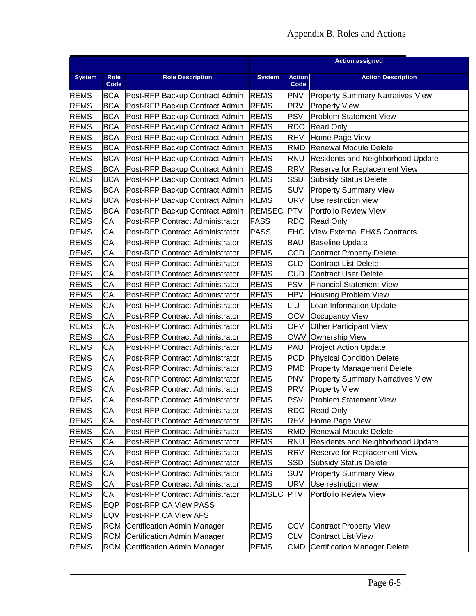|               |                     |                                         | <b>Action assigned</b> |                       |                                          |  |  |
|---------------|---------------------|-----------------------------------------|------------------------|-----------------------|------------------------------------------|--|--|
| <b>System</b> | <b>Role</b><br>Code | <b>Role Description</b>                 | <b>System</b>          | <b>Action</b><br>Code | <b>Action Description</b>                |  |  |
| <b>REMS</b>   | BCA                 | Post-RFP Backup Contract Admin          | <b>REMS</b>            | <b>PNV</b>            | <b>Property Summary Narratives View</b>  |  |  |
| <b>REMS</b>   | BCA                 | Post-RFP Backup Contract Admin          | <b>REMS</b>            | <b>PRV</b>            | <b>Property View</b>                     |  |  |
| <b>REMS</b>   | <b>BCA</b>          | Post-RFP Backup Contract Admin          | <b>REMS</b>            | <b>PSV</b>            | <b>Problem Statement View</b>            |  |  |
| <b>REMS</b>   | BCA                 | Post-RFP Backup Contract Admin          | <b>REMS</b>            | <b>RDO</b>            | <b>Read Only</b>                         |  |  |
| <b>REMS</b>   | <b>BCA</b>          | Post-RFP Backup Contract Admin          | <b>REMS</b>            | <b>RHV</b>            | Home Page View                           |  |  |
| <b>REMS</b>   | BCA                 | Post-RFP Backup Contract Admin          | <b>REMS</b>            | <b>RMD</b>            | <b>Renewal Module Delete</b>             |  |  |
| <b>REMS</b>   | <b>BCA</b>          | Post-RFP Backup Contract Admin          | <b>REMS</b>            | <b>RNU</b>            | <b>Residents and Neighborhood Update</b> |  |  |
| <b>REMS</b>   | <b>BCA</b>          | Post-RFP Backup Contract Admin          | <b>REMS</b>            | <b>RRV</b>            | Reserve for Replacement View             |  |  |
| <b>REMS</b>   | BCA                 | Post-RFP Backup Contract Admin          | <b>REMS</b>            | SSD                   | <b>Subsidy Status Delete</b>             |  |  |
| <b>REMS</b>   | BCA                 | Post-RFP Backup Contract Admin          | <b>REMS</b>            | <b>SUV</b>            | <b>Property Summary View</b>             |  |  |
| <b>REMS</b>   | <b>BCA</b>          | Post-RFP Backup Contract Admin          | <b>REMS</b>            | <b>URV</b>            | Use restriction view                     |  |  |
| <b>REMS</b>   | <b>BCA</b>          | Post-RFP Backup Contract Admin          | <b>REMSEC</b>          | <b>PTV</b>            | Portfolio Review View                    |  |  |
| <b>REMS</b>   | СA                  | Post-RFP Contract Administrator         | <b>FASS</b>            | <b>RDO</b>            | <b>Read Only</b>                         |  |  |
| <b>REMS</b>   | СA                  | Post-RFP Contract Administrator         | <b>PASS</b>            | EHC                   | <b>View External EH&amp;S Contracts</b>  |  |  |
| <b>REMS</b>   | CA                  | Post-RFP Contract Administrator         | <b>REMS</b>            | <b>BAU</b>            | <b>Baseline Update</b>                   |  |  |
| <b>REMS</b>   | CA                  | Post-RFP Contract Administrator         | <b>REMS</b>            | <b>CCD</b>            | <b>Contract Property Delete</b>          |  |  |
| <b>REMS</b>   | СA                  | Post-RFP Contract Administrator         | <b>REMS</b>            | <b>CLD</b>            | <b>Contract List Delete</b>              |  |  |
| <b>REMS</b>   | СA                  | Post-RFP Contract Administrator         | <b>REMS</b>            | <b>CUD</b>            | <b>Contract User Delete</b>              |  |  |
| <b>REMS</b>   | CA                  | Post-RFP Contract Administrator         | <b>REMS</b>            | <b>FSV</b>            | <b>Financial Statement View</b>          |  |  |
| <b>REMS</b>   | СA                  | Post-RFP Contract Administrator         | <b>REMS</b>            | <b>HPV</b>            | <b>Housing Problem View</b>              |  |  |
| <b>REMS</b>   | СA                  | Post-RFP Contract Administrator         | <b>REMS</b>            | LIU                   | Loan Information Update                  |  |  |
| <b>REMS</b>   | СA                  | Post-RFP Contract Administrator         | <b>REMS</b>            | <b>OCV</b>            | <b>Occupancy View</b>                    |  |  |
| <b>REMS</b>   | CA                  | Post-RFP Contract Administrator         | <b>REMS</b>            | <b>OPV</b>            | <b>Other Participant View</b>            |  |  |
| <b>REMS</b>   | CA                  | Post-RFP Contract Administrator         | <b>REMS</b>            |                       | OWV Ownership View                       |  |  |
| <b>REMS</b>   | СA                  | Post-RFP Contract Administrator         | <b>REMS</b>            | PAU                   | <b>Project Action Update</b>             |  |  |
| <b>REMS</b>   | СA                  | Post-RFP Contract Administrator         | <b>REMS</b>            | <b>PCD</b>            | <b>Physical Condition Delete</b>         |  |  |
| <b>REMS</b>   | CA                  | Post-RFP Contract Administrator         | <b>REMS</b>            | <b>PMD</b>            | <b>Property Management Delete</b>        |  |  |
| <b>REMS</b>   | СA                  | Post-RFP Contract Administrator         | <b>REMS</b>            | <b>PNV</b>            | <b>Property Summary Narratives View</b>  |  |  |
| <b>REMS</b>   | СA                  | Post-RFP Contract Administrator         | <b>REMS</b>            | <b>PRV</b>            | <b>Property View</b>                     |  |  |
| <b>REMS</b>   | CA                  | <b>IPost-RFP Contract Administrator</b> | <b>REMS</b>            | <b>PSV</b>            | <b>Problem Statement View</b>            |  |  |
| <b>REMS</b>   | СA                  | Post-RFP Contract Administrator         | <b>REMS</b>            | <b>RDO</b>            | <b>Read Only</b>                         |  |  |
| <b>REMS</b>   | СA                  | Post-RFP Contract Administrator         | <b>REMS</b>            | <b>RHV</b>            | Home Page View                           |  |  |
| <b>REMS</b>   | СA                  | Post-RFP Contract Administrator         | <b>REMS</b>            | <b>RMD</b>            | <b>Renewal Module Delete</b>             |  |  |
| <b>REMS</b>   | СA                  | Post-RFP Contract Administrator         | <b>REMS</b>            | <b>RNU</b>            | <b>Residents and Neighborhood Update</b> |  |  |
| <b>REMS</b>   | СA                  | Post-RFP Contract Administrator         | <b>REMS</b>            | <b>RRV</b>            | Reserve for Replacement View             |  |  |
| <b>REMS</b>   | СA                  | Post-RFP Contract Administrator         | <b>REMS</b>            | SSD                   | <b>Subsidy Status Delete</b>             |  |  |
| <b>REMS</b>   | СA                  | Post-RFP Contract Administrator         | <b>REMS</b>            | SUV                   | <b>Property Summary View</b>             |  |  |
| <b>REMS</b>   | СA                  | Post-RFP Contract Administrator         | <b>REMS</b>            | <b>URV</b>            | Use restriction view                     |  |  |
| <b>REMS</b>   | СA                  | Post-RFP Contract Administrator         | <b>REMSEC</b>          | <b>PTV</b>            | Portfolio Review View                    |  |  |
| <b>REMS</b>   | EQP                 | Post-RFP CA View PASS                   |                        |                       |                                          |  |  |
| <b>REMS</b>   | EQV                 | Post-RFP CA View AFS                    |                        |                       |                                          |  |  |
| <b>REMS</b>   | RCM                 | Certification Admin Manager             | <b>REMS</b>            | CCV                   | <b>Contract Property View</b>            |  |  |
| <b>REMS</b>   | <b>RCM</b>          | Certification Admin Manager             | <b>REMS</b>            | <b>CLV</b>            | <b>Contract List View</b>                |  |  |
| <b>REMS</b>   | RCM                 | Certification Admin Manager             | <b>REMS</b>            | CMD                   | <b>Certification Manager Delete</b>      |  |  |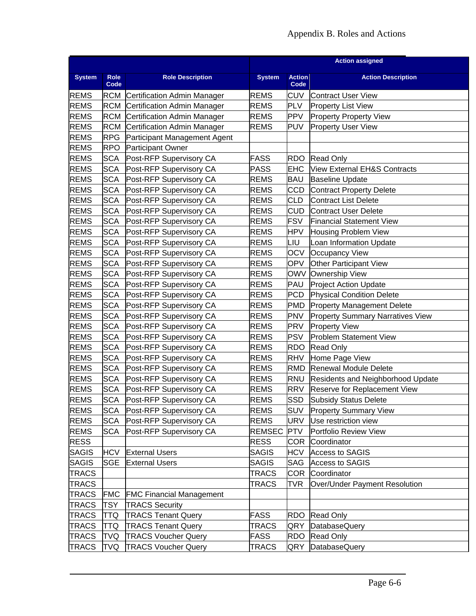## Appendix B. Roles and Actions

|               |              |                                 | <b>Action assigned</b> |                       |                                         |  |  |  |
|---------------|--------------|---------------------------------|------------------------|-----------------------|-----------------------------------------|--|--|--|
| <b>System</b> | Role<br>Code | <b>Role Description</b>         | <b>System</b>          | <b>Action</b><br>Code | <b>Action Description</b>               |  |  |  |
| <b>REMS</b>   | RCM          | Certification Admin Manager     | <b>REMS</b>            | <b>CUV</b>            | <b>Contract User View</b>               |  |  |  |
| <b>REMS</b>   | RCM          | Certification Admin Manager     | <b>REMS</b>            | <b>PLV</b>            | <b>Property List View</b>               |  |  |  |
| <b>REMS</b>   | RCM          | Certification Admin Manager     | <b>REMS</b>            | <b>PPV</b>            | <b>Property Property View</b>           |  |  |  |
| <b>REMS</b>   | <b>RCM</b>   | Certification Admin Manager     | <b>REMS</b>            | <b>PUV</b>            | <b>Property User View</b>               |  |  |  |
| <b>REMS</b>   | RPG          | Participant Management Agent    |                        |                       |                                         |  |  |  |
| <b>REMS</b>   | <b>RPO</b>   | <b>Participant Owner</b>        |                        |                       |                                         |  |  |  |
| <b>REMS</b>   | SCA          | Post-RFP Supervisory CA         | <b>FASS</b>            | <b>RDO</b>            | <b>Read Only</b>                        |  |  |  |
| <b>REMS</b>   | <b>SCA</b>   | Post-RFP Supervisory CA         | <b>PASS</b>            | <b>EHC</b>            | View External EH&S Contracts            |  |  |  |
| <b>REMS</b>   | <b>SCA</b>   | Post-RFP Supervisory CA         | <b>REMS</b>            | BAU                   | <b>Baseline Update</b>                  |  |  |  |
| <b>REMS</b>   | SCA          | Post-RFP Supervisory CA         | <b>REMS</b>            | CCD                   | <b>Contract Property Delete</b>         |  |  |  |
| <b>REMS</b>   | SCA          | Post-RFP Supervisory CA         | <b>REMS</b>            | CLD                   | <b>Contract List Delete</b>             |  |  |  |
| <b>REMS</b>   | SCA          | Post-RFP Supervisory CA         | <b>REMS</b>            | <b>CUD</b>            | <b>Contract User Delete</b>             |  |  |  |
| <b>REMS</b>   | SCA          | Post-RFP Supervisory CA         | <b>REMS</b>            | <b>FSV</b>            | <b>Financial Statement View</b>         |  |  |  |
| <b>REMS</b>   | SCA          | Post-RFP Supervisory CA         | <b>REMS</b>            | <b>HPV</b>            | <b>Housing Problem View</b>             |  |  |  |
| <b>REMS</b>   | SCA          | Post-RFP Supervisory CA         | <b>REMS</b>            | LIU                   | Loan Information Update                 |  |  |  |
| <b>REMS</b>   | <b>SCA</b>   | Post-RFP Supervisory CA         | <b>REMS</b>            | <b>OCV</b>            | <b>Occupancy View</b>                   |  |  |  |
| <b>REMS</b>   | SCA          | Post-RFP Supervisory CA         | <b>REMS</b>            | <b>OPV</b>            | <b>Other Participant View</b>           |  |  |  |
| <b>REMS</b>   | SCA          | Post-RFP Supervisory CA         | <b>REMS</b>            | OWV                   | <b>Ownership View</b>                   |  |  |  |
| <b>REMS</b>   | SCA          | Post-RFP Supervisory CA         | <b>REMS</b>            | PAU                   | <b>Project Action Update</b>            |  |  |  |
| <b>REMS</b>   | SCA          | Post-RFP Supervisory CA         | <b>REMS</b>            | <b>PCD</b>            | <b>Physical Condition Delete</b>        |  |  |  |
| <b>REMS</b>   | SCA          | Post-RFP Supervisory CA         | <b>REMS</b>            | PMD                   | <b>Property Management Delete</b>       |  |  |  |
| <b>REMS</b>   | SCA          | Post-RFP Supervisory CA         | <b>REMS</b>            | <b>PNV</b>            | <b>Property Summary Narratives View</b> |  |  |  |
| <b>REMS</b>   | SCA          | Post-RFP Supervisory CA         | <b>REMS</b>            | PRV                   | <b>Property View</b>                    |  |  |  |
| <b>REMS</b>   | <b>SCA</b>   | Post-RFP Supervisory CA         | <b>REMS</b>            | <b>PSV</b>            | Problem Statement View                  |  |  |  |
| <b>REMS</b>   | SCA          | Post-RFP Supervisory CA         | <b>REMS</b>            | RDO                   | Read Only                               |  |  |  |
| <b>REMS</b>   | SCA          | Post-RFP Supervisory CA         | <b>REMS</b>            | <b>RHV</b>            | Home Page View                          |  |  |  |
| <b>REMS</b>   | SCA          | Post-RFP Supervisory CA         | <b>REMS</b>            | RMD                   | <b>Renewal Module Delete</b>            |  |  |  |
| <b>REMS</b>   | <b>SCA</b>   | Post-RFP Supervisory CA         | <b>REMS</b>            | RNU                   | Residents and Neighborhood Update       |  |  |  |
| <b>REMS</b>   | SCA          | Post-RFP Supervisory CA         | <b>REMS</b>            | RRV                   | Reserve for Replacement View            |  |  |  |
| <b>REMS</b>   | SCA          | Post-RFP Supervisory CA         | <b>REMS</b>            | SSD                   | <b>Subsidy Status Delete</b>            |  |  |  |
| <b>REMS</b>   | SCA          | Post-RFP Supervisory CA         | <b>REMS</b>            | <b>SUV</b>            | <b>Property Summary View</b>            |  |  |  |
| <b>REMS</b>   | SCA          | Post-RFP Supervisory CA         | <b>REMS</b>            | URV                   | Use restriction view                    |  |  |  |
| <b>REMS</b>   | SCA          | Post-RFP Supervisory CA         | <b>REMSEC</b>          | <b>PTV</b>            | Portfolio Review View                   |  |  |  |
| <b>RESS</b>   |              |                                 | <b>RESS</b>            | COR.                  | Coordinator                             |  |  |  |
| <b>SAGIS</b>  | <b>HCV</b>   | <b>External Users</b>           | <b>SAGIS</b>           | <b>HCV</b>            | <b>Access to SAGIS</b>                  |  |  |  |
| <b>SAGIS</b>  | SGE          | <b>External Users</b>           | <b>SAGIS</b>           | SAG                   | Access to SAGIS                         |  |  |  |
| <b>TRACS</b>  |              |                                 | <b>TRACS</b>           | COR                   | Coordinator                             |  |  |  |
| <b>TRACS</b>  |              |                                 | <b>TRACS</b>           | TVR                   | Over/Under Payment Resolution           |  |  |  |
| <b>TRACS</b>  | <b>FMC</b>   | <b>FMC Financial Management</b> |                        |                       |                                         |  |  |  |
| <b>TRACS</b>  | TSY          | <b>TRACS Security</b>           |                        |                       |                                         |  |  |  |
| <b>TRACS</b>  | TTQ          | <b>TRACS Tenant Query</b>       | <b>FASS</b>            | <b>RDO</b>            | <b>Read Only</b>                        |  |  |  |
| <b>TRACS</b>  | TTQ          | <b>TRACS Tenant Query</b>       | <b>TRACS</b>           | QRY                   | DatabaseQuery                           |  |  |  |
| <b>TRACS</b>  | TVQ          | <b>TRACS Voucher Query</b>      | <b>FASS</b>            | RDO                   | <b>Read Only</b>                        |  |  |  |
| <b>TRACS</b>  | TVQ          | <b>TRACS Voucher Query</b>      | <b>TRACS</b>           |                       | QRY DatabaseQuery                       |  |  |  |